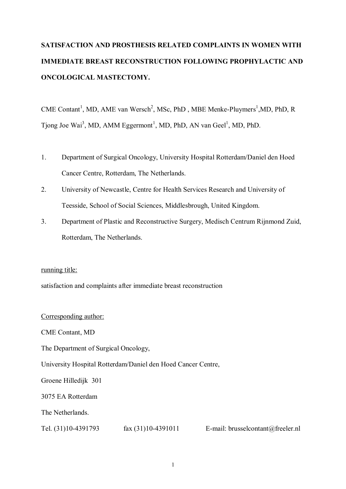# **SATISFACTION AND PROSTHESIS RELATED COMPLAINTS IN WOMEN WITH IMMEDIATE BREAST RECONSTRUCTION FOLLOWING PROPHYLACTIC AND ONCOLOGICAL MASTECTOMY.**

CME Contant<sup>1</sup>, MD, AME van Wersch<sup>2</sup>, MSc, PhD, MBE Menke-Pluymers<sup>1</sup>, MD, PhD, R Tjong Joe Wai<sup>3</sup>, MD, AMM Eggermont<sup>1</sup>, MD, PhD, AN van Geel<sup>1</sup>, MD, PhD.

- 1. Department of Surgical Oncology, University Hospital Rotterdam/Daniel den Hoed Cancer Centre, Rotterdam, The Netherlands.
- 2. University of Newcastle, Centre for Health Services Research and University of Teesside, School of Social Sciences, Middlesbrough, United Kingdom.
- 3. Department of Plastic and Reconstructive Surgery, Medisch Centrum Rijnmond Zuid, Rotterdam, The Netherlands.

## running title:

satisfaction and complaints after immediate breast reconstruction

Corresponding author: CME Contant, MD The Department of Surgical Oncology, University Hospital Rotterdam/Daniel den Hoed Cancer Centre, Groene Hilledijk 301 3075 EA Rotterdam The Netherlands.

Tel. (31)10-4391793 fax (31)10-4391011 E-mail: brusselcontant@freeler.nl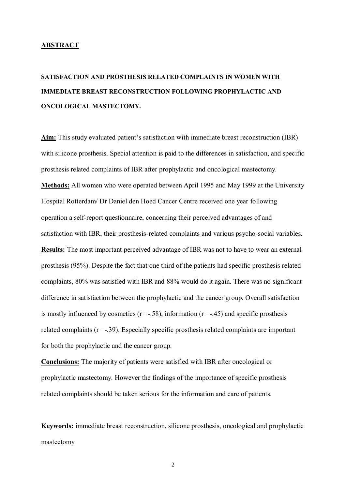#### **ABSTRACT**

# **SATISFACTION AND PROSTHESIS RELATED COMPLAINTS IN WOMEN WITH IMMEDIATE BREAST RECONSTRUCTION FOLLOWING PROPHYLACTIC AND ONCOLOGICAL MASTECTOMY.**

Aim: This study evaluated patient's satisfaction with immediate breast reconstruction (IBR) with silicone prosthesis. Special attention is paid to the differences in satisfaction, and specific prosthesis related complaints of IBR after prophylactic and oncological mastectomy. **Methods:** All women who were operated between April 1995 and May 1999 at the University Hospital Rotterdam/ Dr Daniel den Hoed Cancer Centre received one year following operation a self-report questionnaire, concerning their perceived advantages of and satisfaction with IBR, their prosthesis-related complaints and various psycho-social variables. **Results:** The most important perceived advantage of IBR was not to have to wear an external prosthesis (95%). Despite the fact that one third of the patients had specific prosthesis related complaints, 80% was satisfied with IBR and 88% would do it again. There was no significant difference in satisfaction between the prophylactic and the cancer group. Overall satisfaction is mostly influenced by cosmetics  $(r = .58)$ , information  $(r = .45)$  and specific prosthesis related complaints (r =-.39). Especially specific prosthesis related complaints are important for both the prophylactic and the cancer group.

**Conclusions:** The majority of patients were satisfied with IBR after oncological or prophylactic mastectomy. However the findings of the importance of specific prosthesis related complaints should be taken serious for the information and care of patients.

**Keywords:** immediate breast reconstruction, silicone prosthesis, oncological and prophylactic mastectomy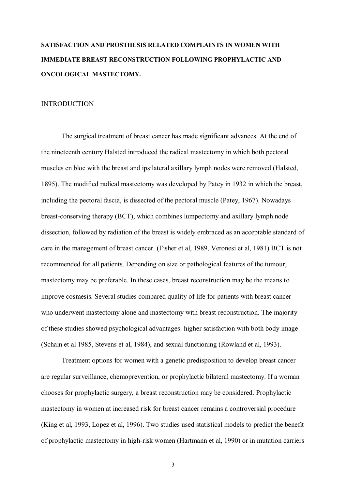# **SATISFACTION AND PROSTHESIS RELATED COMPLAINTS IN WOMEN WITH IMMEDIATE BREAST RECONSTRUCTION FOLLOWING PROPHYLACTIC AND ONCOLOGICAL MASTECTOMY.**

#### INTRODUCTION

The surgical treatment of breast cancer has made significant advances. At the end of the nineteenth century Halsted introduced the radical mastectomy in which both pectoral muscles en bloc with the breast and ipsilateral axillary lymph nodes were removed (Halsted, 1895). The modified radical mastectomy was developed by Patey in 1932 in which the breast, including the pectoral fascia, is dissected of the pectoral muscle (Patey, 1967). Nowadays breast-conserving therapy (BCT), which combines lumpectomy and axillary lymph node dissection, followed by radiation of the breast is widely embraced as an acceptable standard of care in the management of breast cancer. (Fisher et al, 1989, Veronesi et al, 1981) BCT is not recommended for all patients. Depending on size or pathological features of the tumour, mastectomy may be preferable. In these cases, breast reconstruction may be the means to improve cosmesis. Several studies compared quality of life for patients with breast cancer who underwent mastectomy alone and mastectomy with breast reconstruction. The majority of these studies showed psychological advantages: higher satisfaction with both body image (Schain et al 1985, Stevens et al, 1984), and sexual functioning (Rowland et al, 1993).

Treatment options for women with a genetic predisposition to develop breast cancer are regular surveillance, chemoprevention, or prophylactic bilateral mastectomy. If a woman chooses for prophylactic surgery, a breast reconstruction may be considered. Prophylactic mastectomy in women at increased risk for breast cancer remains a controversial procedure (King et al, 1993, Lopez et al, 1996). Two studies used statistical models to predict the benefit of prophylactic mastectomy in high-risk women (Hartmann et al, 1990) or in mutation carriers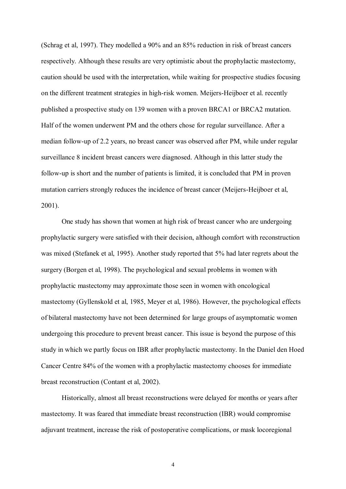(Schrag et al, 1997). They modelled a 90% and an 85% reduction in risk of breast cancers respectively. Although these results are very optimistic about the prophylactic mastectomy, caution should be used with the interpretation, while waiting for prospective studies focusing on the different treatment strategies in high-risk women. Meijers-Heijboer et al. recently published a prospective study on 139 women with a proven BRCA1 or BRCA2 mutation. Half of the women underwent PM and the others chose for regular surveillance. After a median follow-up of 2.2 years, no breast cancer was observed after PM, while under regular surveillance 8 incident breast cancers were diagnosed. Although in this latter study the follow-up is short and the number of patients is limited, it is concluded that PM in proven mutation carriers strongly reduces the incidence of breast cancer (Meijers-Heijboer et al, 2001).

One study has shown that women at high risk of breast cancer who are undergoing prophylactic surgery were satisfied with their decision, although comfort with reconstruction was mixed (Stefanek et al, 1995). Another study reported that 5% had later regrets about the surgery (Borgen et al, 1998). The psychological and sexual problems in women with prophylactic mastectomy may approximate those seen in women with oncological mastectomy (Gyllenskold et al, 1985, Meyer et al, 1986). However, the psychological effects of bilateral mastectomy have not been determined for large groups of asymptomatic women undergoing this procedure to prevent breast cancer. This issue is beyond the purpose of this study in which we partly focus on IBR after prophylactic mastectomy. In the Daniel den Hoed Cancer Centre 84% of the women with a prophylactic mastectomy chooses for immediate breast reconstruction (Contant et al, 2002).

Historically, almost all breast reconstructions were delayed for months or years after mastectomy. It was feared that immediate breast reconstruction (IBR) would compromise adjuvant treatment, increase the risk of postoperative complications, or mask locoregional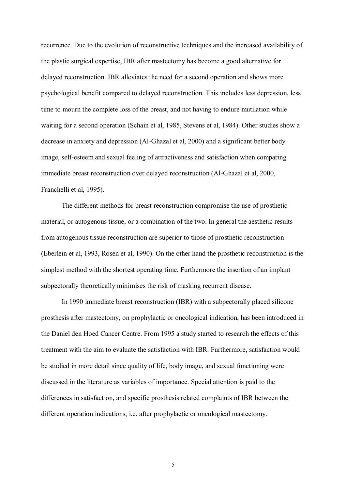recurrence. Due to the evolution of reconstructive techniques and the increased availability of the plastic surgical expertise, IBR after mastectomy has become a good alternative for delayed reconstruction. IBR alleviates the need for a second operation and shows more psychological benefit compared to delayed reconstruction. This includes less depression, less time to mourn the complete loss of the breast, and not having to endure mutilation while waiting for a second operation (Schain et al, 1985, Stevens et al, 1984). Other studies show a decrease in anxiety and depression (Al-Ghazal et al, 2000) and a significant better body image, self-esteem and sexual feeling of attractiveness and satisfaction when comparing immediate breast reconstruction over delayed reconstruction (Al-Ghazal et al, 2000, Franchelli et al, 1995).

The different methods for breast reconstruction compromise the use of prosthetic material, or autogenous tissue, or a combination of the two. In general the aesthetic results from autogenous tissue reconstruction are superior to those of prosthetic reconstruction (Eberlein et al, 1993, Rosen et al, 1990). On the other hand the prosthetic reconstruction is the simplest method with the shortest operating time. Furthermore the insertion of an implant subpectorally theoretically minimises the risk of masking recurrent disease.

In 1990 immediate breast reconstruction (IBR) with a subpectorally placed silicone prosthesis after mastectomy, on prophylactic or oncological indication, has been introduced in the Daniel den Hoed Cancer Centre. From 1995 a study started to research the effects of this treatment with the aim to evaluate the satisfaction with IBR. Furthermore, satisfaction would be studied in more detail since quality of life, body image, and sexual functioning were discussed in the literature as variables of importance. Special attention is paid to the differences in satisfaction, and specific prosthesis related complaints of IBR between the different operation indications, i.e. after prophylactic or oncological mastectomy.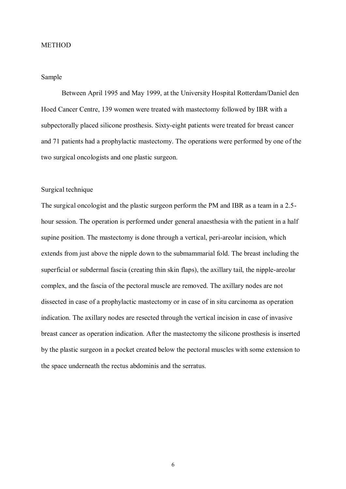# **METHOD**

## Sample

Between April 1995 and May 1999, at the University Hospital Rotterdam/Daniel den Hoed Cancer Centre, 139 women were treated with mastectomy followed by IBR with a subpectorally placed silicone prosthesis. Sixty-eight patients were treated for breast cancer and 71 patients had a prophylactic mastectomy. The operations were performed by one of the two surgical oncologists and one plastic surgeon.

### Surgical technique

The surgical oncologist and the plastic surgeon perform the PM and IBR as a team in a 2.5 hour session. The operation is performed under general anaesthesia with the patient in a half supine position. The mastectomy is done through a vertical, peri-areolar incision, which extends from just above the nipple down to the submammarial fold. The breast including the superficial or subdermal fascia (creating thin skin flaps), the axillary tail, the nipple-areolar complex, and the fascia of the pectoral muscle are removed. The axillary nodes are not dissected in case of a prophylactic mastectomy or in case of in situ carcinoma as operation indication. The axillary nodes are resected through the vertical incision in case of invasive breast cancer as operation indication. After the mastectomy the silicone prosthesis is inserted by the plastic surgeon in a pocket created below the pectoral muscles with some extension to the space underneath the rectus abdominis and the serratus.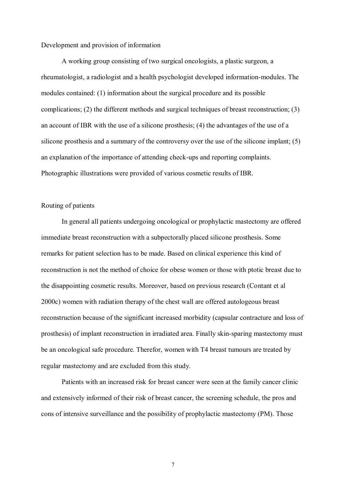#### Development and provision of information

A working group consisting of two surgical oncologists, a plastic surgeon, a rheumatologist, a radiologist and a health psychologist developed information-modules. The modules contained: (1) information about the surgical procedure and its possible complications; (2) the different methods and surgical techniques of breast reconstruction; (3) an account of IBR with the use of a silicone prosthesis; (4) the advantages of the use of a silicone prosthesis and a summary of the controversy over the use of the silicone implant; (5) an explanation of the importance of attending check-ups and reporting complaints. Photographic illustrations were provided of various cosmetic results of IBR.

### Routing of patients

In general all patients undergoing oncological or prophylactic mastectomy are offered immediate breast reconstruction with a subpectorally placed silicone prosthesis. Some remarks for patient selection has to be made. Based on clinical experience this kind of reconstruction is not the method of choice for obese women or those with ptotic breast due to the disappointing cosmetic results. Moreover, based on previous research (Contant et al 2000c) women with radiation therapy of the chest wall are offered autologeous breast reconstruction because of the significant increased morbidity (capsular contracture and loss of prosthesis) of implant reconstruction in irradiated area. Finally skin-sparing mastectomy must be an oncological safe procedure. Therefor, women with T4 breast tumours are treated by regular mastectomy and are excluded from this study.

Patients with an increased risk for breast cancer were seen at the family cancer clinic and extensively informed of their risk of breast cancer, the screening schedule, the pros and cons of intensive surveillance and the possibility of prophylactic mastectomy (PM). Those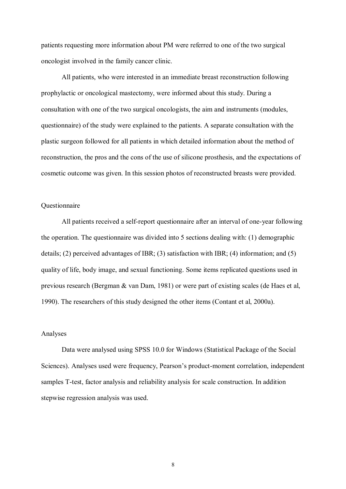patients requesting more information about PM were referred to one of the two surgical oncologist involved in the family cancer clinic.

All patients, who were interested in an immediate breast reconstruction following prophylactic or oncological mastectomy, were informed about this study. During a consultation with one of the two surgical oncologists, the aim and instruments (modules, questionnaire) of the study were explained to the patients. A separate consultation with the plastic surgeon followed for all patients in which detailed information about the method of reconstruction, the pros and the cons of the use of silicone prosthesis, and the expectations of cosmetic outcome was given. In this session photos of reconstructed breasts were provided.

#### Questionnaire

All patients received a self-report questionnaire after an interval of one-year following the operation. The questionnaire was divided into 5 sections dealing with: (1) demographic details; (2) perceived advantages of IBR; (3) satisfaction with IBR; (4) information; and (5) quality of life, body image, and sexual functioning. Some items replicated questions used in previous research (Bergman & van Dam, 1981) or were part of existing scales (de Haes et al, 1990). The researchers of this study designed the other items (Contant et al, 2000a).

#### Analyses

 Data were analysed using SPSS 10.0 for Windows (Statistical Package of the Social Sciences). Analyses used were frequency, Pearson's product-moment correlation, independent samples T-test, factor analysis and reliability analysis for scale construction. In addition stepwise regression analysis was used.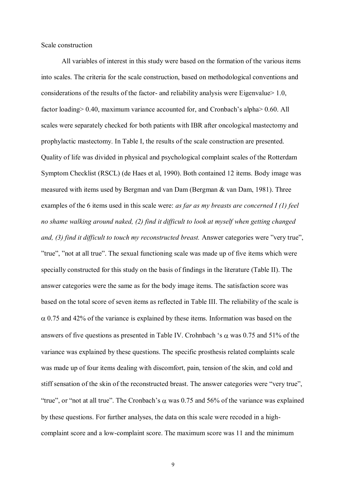Scale construction

All variables of interest in this study were based on the formation of the various items into scales. The criteria for the scale construction, based on methodological conventions and considerations of the results of the factor- and reliability analysis were Eigenvalue  $> 1.0$ , factor loading > 0.40, maximum variance accounted for, and Cronbach's alpha > 0.60. All scales were separately checked for both patients with IBR after oncological mastectomy and prophylactic mastectomy. In Table I, the results of the scale construction are presented. Quality of life was divided in physical and psychological complaint scales of the Rotterdam Symptom Checklist (RSCL) (de Haes et al, 1990). Both contained 12 items. Body image was measured with items used by Bergman and van Dam (Bergman & van Dam, 1981). Three examples of the 6 items used in this scale were: *as far as my breasts are concerned I (1) feel no shame walking around naked, (2) find it difficult to look at myself when getting changed and, (3) find it difficult to touch my reconstructed breast.* Answer categories were "very true", "true", "not at all true". The sexual functioning scale was made up of five items which were specially constructed for this study on the basis of findings in the literature (Table II). The answer categories were the same as for the body image items. The satisfaction score was based on the total score of seven items as reflected in Table III. The reliability of the scale is  $\alpha$  0.75 and 42% of the variance is explained by these items. Information was based on the answers of five questions as presented in Table IV. Crohnbach 's  $\alpha$  was 0.75 and 51% of the variance was explained by these questions. The specific prosthesis related complaints scale was made up of four items dealing with discomfort, pain, tension of the skin, and cold and stiff sensation of the skin of the reconstructed breast. The answer categories were "very true", "true", or "not at all true". The Cronbach's  $\alpha$  was 0.75 and 56% of the variance was explained by these questions. For further analyses, the data on this scale were recoded in a highcomplaint score and a low-complaint score. The maximum score was 11 and the minimum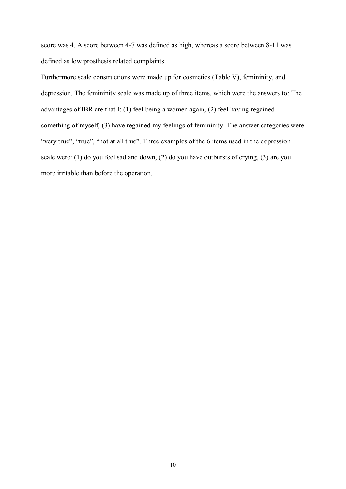score was 4. A score between 4-7 was defined as high, whereas a score between 8-11 was defined as low prosthesis related complaints.

Furthermore scale constructions were made up for cosmetics (Table V), femininity, and depression. The femininity scale was made up of three items, which were the answers to: The advantages of IBR are that I: (1) feel being a women again, (2) feel having regained something of myself, (3) have regained my feelings of femininity. The answer categories were "very true", "true", "not at all true". Three examples of the 6 items used in the depression scale were: (1) do you feel sad and down, (2) do you have outbursts of crying, (3) are you more irritable than before the operation.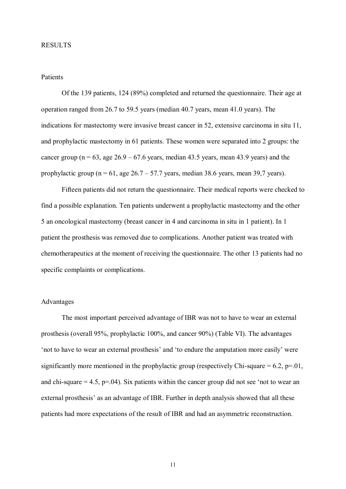#### RESULTS

### Patients

Of the 139 patients, 124 (89%) completed and returned the questionnaire. Their age at operation ranged from 26.7 to 59.5 years (median 40.7 years, mean 41.0 years). The indications for mastectomy were invasive breast cancer in 52, extensive carcinoma in situ 11, and prophylactic mastectomy in 61 patients. These women were separated into 2 groups: the cancer group ( $n = 63$ , age  $26.9 - 67.6$  years, median 43.5 years, mean 43.9 years) and the prophylactic group ( $n = 61$ , age 26.7 – 57.7 years, median 38.6 years, mean 39,7 years).

Fifteen patients did not return the questionnaire. Their medical reports were checked to find a possible explanation. Ten patients underwent a prophylactic mastectomy and the other 5 an oncological mastectomy (breast cancer in 4 and carcinoma in situ in 1 patient). In 1 patient the prosthesis was removed due to complications. Another patient was treated with chemotherapeutics at the moment of receiving the questionnaire. The other 13 patients had no specific complaints or complications.

# Advantages

The most important perceived advantage of IBR was not to have to wear an external prosthesis (overall 95%, prophylactic 100%, and cancer 90%) (Table VI). The advantages "not to have to wear an external prosthesis" and "to endure the amputation more easily" were significantly more mentioned in the prophylactic group (respectively Chi-square  $= 6.2$ ,  $p=01$ , and chi-square  $= 4.5$ ,  $p = .04$ ). Six patients within the cancer group did not see 'not to wear an external prosthesis' as an advantage of IBR. Further in depth analysis showed that all these patients had more expectations of the result of IBR and had an asymmetric reconstruction.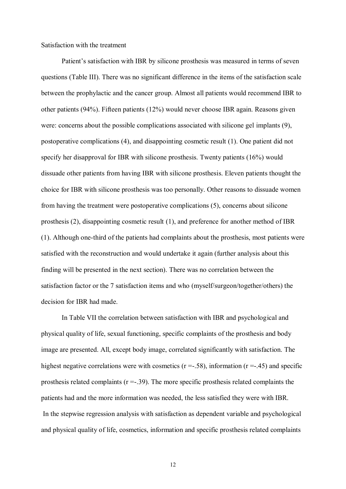### Satisfaction with the treatment

Patient's satisfaction with IBR by silicone prosthesis was measured in terms of seven questions (Table III). There was no significant difference in the items of the satisfaction scale between the prophylactic and the cancer group. Almost all patients would recommend IBR to other patients (94%). Fifteen patients (12%) would never choose IBR again. Reasons given were: concerns about the possible complications associated with silicone gel implants (9), postoperative complications (4), and disappointing cosmetic result (1). One patient did not specify her disapproval for IBR with silicone prosthesis. Twenty patients (16%) would dissuade other patients from having IBR with silicone prosthesis. Eleven patients thought the choice for IBR with silicone prosthesis was too personally. Other reasons to dissuade women from having the treatment were postoperative complications (5), concerns about silicone prosthesis (2), disappointing cosmetic result (1), and preference for another method of IBR (1). Although one-third of the patients had complaints about the prosthesis, most patients were satisfied with the reconstruction and would undertake it again (further analysis about this finding will be presented in the next section). There was no correlation between the satisfaction factor or the 7 satisfaction items and who (myself/surgeon/together/others) the decision for IBR had made.

In Table VII the correlation between satisfaction with IBR and psychological and physical quality of life, sexual functioning, specific complaints of the prosthesis and body image are presented. All, except body image, correlated significantly with satisfaction. The highest negative correlations were with cosmetics ( $r = -0.58$ ), information ( $r = -0.45$ ) and specific prosthesis related complaints  $(r = .39)$ . The more specific prosthesis related complaints the patients had and the more information was needed, the less satisfied they were with IBR. In the stepwise regression analysis with satisfaction as dependent variable and psychological and physical quality of life, cosmetics, information and specific prosthesis related complaints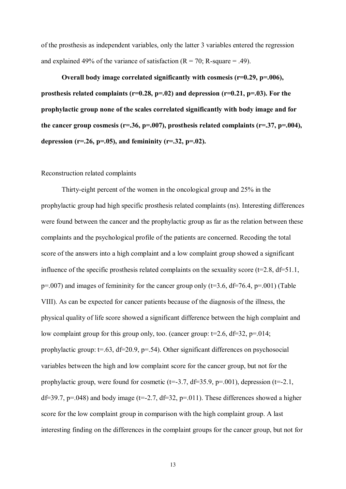of the prosthesis as independent variables, only the latter 3 variables entered the regression and explained 49% of the variance of satisfaction  $(R = 70; R \text{-}square = .49)$ .

**Overall body image correlated significantly with cosmesis (r=0.29, p=.006), prosthesis related complaints (r=0.28, p=.02) and depression (r=0.21, p=.03). For the prophylactic group none of the scales correlated significantly with body image and for the cancer group cosmesis (r=.36, p=.007), prosthesis related complaints (r=.37, p=.004), depression (r=.26, p=.05), and femininity (r=.32, p=.02).** 

### Reconstruction related complaints

Thirty-eight percent of the women in the oncological group and 25% in the prophylactic group had high specific prosthesis related complaints (ns). Interesting differences were found between the cancer and the prophylactic group as far as the relation between these complaints and the psychological profile of the patients are concerned. Recoding the total score of the answers into a high complaint and a low complaint group showed a significant influence of the specific prosthesis related complaints on the sexuality score ( $t=2.8$ ,  $df=51.1$ ,  $p=0.007$ ) and images of femininity for the cancer group only (t=3.6, df=76.4, p=.001) (Table VIII). As can be expected for cancer patients because of the diagnosis of the illness, the physical quality of life score showed a significant difference between the high complaint and low complaint group for this group only, too. (cancer group:  $t=2.6$ ,  $df=32$ ,  $p=.014$ ; prophylactic group:  $t=63$ ,  $df=20.9$ ,  $p=.54$ ). Other significant differences on psychosocial variables between the high and low complaint score for the cancer group, but not for the prophylactic group, were found for cosmetic ( $t=-3.7$ ,  $df=35.9$ ,  $p=.001$ ), depression ( $t=-2.1$ , df=39.7, p=.048) and body image (t=-2.7, df=32, p=.011). These differences showed a higher score for the low complaint group in comparison with the high complaint group. A last interesting finding on the differences in the complaint groups for the cancer group, but not for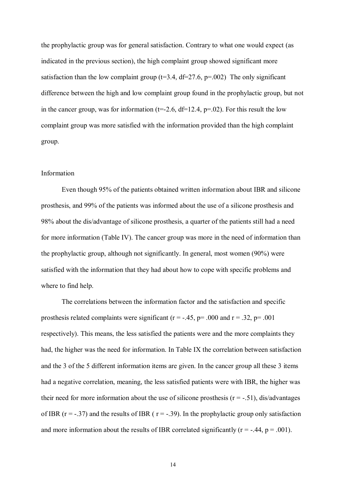the prophylactic group was for general satisfaction. Contrary to what one would expect (as indicated in the previous section), the high complaint group showed significant more satisfaction than the low complaint group ( $t=3.4$ ,  $df=27.6$ ,  $p=.002$ ) The only significant difference between the high and low complaint group found in the prophylactic group, but not in the cancer group, was for information ( $t=-2.6$ ,  $df=12.4$ ,  $p=.02$ ). For this result the low complaint group was more satisfied with the information provided than the high complaint group.

#### Information

Even though 95% of the patients obtained written information about IBR and silicone prosthesis, and 99% of the patients was informed about the use of a silicone prosthesis and 98% about the dis/advantage of silicone prosthesis, a quarter of the patients still had a need for more information (Table IV). The cancer group was more in the need of information than the prophylactic group, although not significantly. In general, most women (90%) were satisfied with the information that they had about how to cope with specific problems and where to find help.

The correlations between the information factor and the satisfaction and specific prosthesis related complaints were significant ( $r = -.45$ ,  $p = .000$  and  $r = .32$ ,  $p = .001$ respectively). This means, the less satisfied the patients were and the more complaints they had, the higher was the need for information. In Table IX the correlation between satisfaction and the 3 of the 5 different information items are given. In the cancer group all these 3 items had a negative correlation, meaning, the less satisfied patients were with IBR, the higher was their need for more information about the use of silicone prosthesis  $(r = -.51)$ , dis/advantages of IBR ( $r = -0.37$ ) and the results of IBR ( $r = -0.39$ ). In the prophylactic group only satisfaction and more information about the results of IBR correlated significantly  $(r = -.44, p = .001)$ .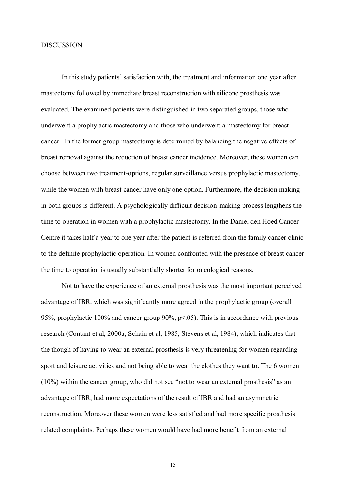#### DISCUSSION

In this study patients' satisfaction with, the treatment and information one year after mastectomy followed by immediate breast reconstruction with silicone prosthesis was evaluated. The examined patients were distinguished in two separated groups, those who underwent a prophylactic mastectomy and those who underwent a mastectomy for breast cancer. In the former group mastectomy is determined by balancing the negative effects of breast removal against the reduction of breast cancer incidence. Moreover, these women can choose between two treatment-options, regular surveillance versus prophylactic mastectomy, while the women with breast cancer have only one option. Furthermore, the decision making in both groups is different. A psychologically difficult decision-making process lengthens the time to operation in women with a prophylactic mastectomy. In the Daniel den Hoed Cancer Centre it takes half a year to one year after the patient is referred from the family cancer clinic to the definite prophylactic operation. In women confronted with the presence of breast cancer the time to operation is usually substantially shorter for oncological reasons.

Not to have the experience of an external prosthesis was the most important perceived advantage of IBR, which was significantly more agreed in the prophylactic group (overall 95%, prophylactic 100% and cancer group 90%, p<.05). This is in accordance with previous research (Contant et al, 2000a, Schain et al, 1985, Stevens et al, 1984), which indicates that the though of having to wear an external prosthesis is very threatening for women regarding sport and leisure activities and not being able to wear the clothes they want to. The 6 women (10%) within the cancer group, who did not see "not to wear an external prosthesis" as an advantage of IBR, had more expectations of the result of IBR and had an asymmetric reconstruction. Moreover these women were less satisfied and had more specific prosthesis related complaints. Perhaps these women would have had more benefit from an external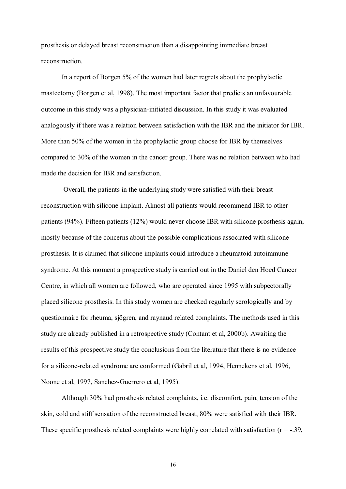prosthesis or delayed breast reconstruction than a disappointing immediate breast reconstruction.

In a report of Borgen 5% of the women had later regrets about the prophylactic mastectomy (Borgen et al, 1998). The most important factor that predicts an unfavourable outcome in this study was a physician-initiated discussion. In this study it was evaluated analogously if there was a relation between satisfaction with the IBR and the initiator for IBR. More than 50% of the women in the prophylactic group choose for IBR by themselves compared to 30% of the women in the cancer group. There was no relation between who had made the decision for IBR and satisfaction.

 Overall, the patients in the underlying study were satisfied with their breast reconstruction with silicone implant. Almost all patients would recommend IBR to other patients (94%). Fifteen patients (12%) would never choose IBR with silicone prosthesis again, mostly because of the concerns about the possible complications associated with silicone prosthesis. It is claimed that silicone implants could introduce a rheumatoid autoimmune syndrome. At this moment a prospective study is carried out in the Daniel den Hoed Cancer Centre, in which all women are followed, who are operated since 1995 with subpectorally placed silicone prosthesis. In this study women are checked regularly serologically and by questionnaire for rheuma, sjögren, and raynaud related complaints. The methods used in this study are already published in a retrospective study (Contant et al, 2000b). Awaiting the results of this prospective study the conclusions from the literature that there is no evidence for a silicone-related syndrome are conformed (Gabril et al, 1994, Hennekens et al, 1996, Noone et al, 1997, Sanchez-Guerrero et al, 1995).

Although 30% had prosthesis related complaints, i.e. discomfort, pain, tension of the skin, cold and stiff sensation of the reconstructed breast, 80% were satisfied with their IBR. These specific prosthesis related complaints were highly correlated with satisfaction ( $r = -.39$ ,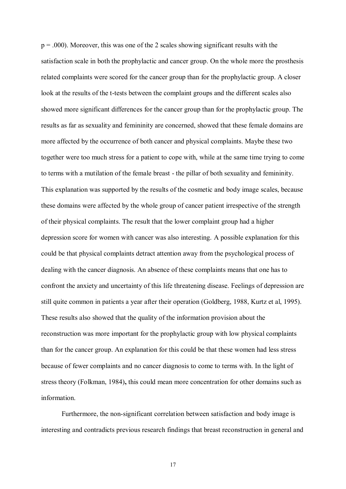$p = .000$ ). Moreover, this was one of the 2 scales showing significant results with the satisfaction scale in both the prophylactic and cancer group. On the whole more the prosthesis related complaints were scored for the cancer group than for the prophylactic group. A closer look at the results of the t-tests between the complaint groups and the different scales also showed more significant differences for the cancer group than for the prophylactic group. The results as far as sexuality and femininity are concerned, showed that these female domains are more affected by the occurrence of both cancer and physical complaints. Maybe these two together were too much stress for a patient to cope with, while at the same time trying to come to terms with a mutilation of the female breast - the pillar of both sexuality and femininity. This explanation was supported by the results of the cosmetic and body image scales, because these domains were affected by the whole group of cancer patient irrespective of the strength of their physical complaints. The result that the lower complaint group had a higher depression score for women with cancer was also interesting. A possible explanation for this could be that physical complaints detract attention away from the psychological process of dealing with the cancer diagnosis. An absence of these complaints means that one has to confront the anxiety and uncertainty of this life threatening disease. Feelings of depression are still quite common in patients a year after their operation (Goldberg, 1988, Kurtz et al, 1995). These results also showed that the quality of the information provision about the reconstruction was more important for the prophylactic group with low physical complaints than for the cancer group. An explanation for this could be that these women had less stress because of fewer complaints and no cancer diagnosis to come to terms with. In the light of stress theory (Folkman, 1984)**,** this could mean more concentration for other domains such as information.

Furthermore, the non-significant correlation between satisfaction and body image is interesting and contradicts previous research findings that breast reconstruction in general and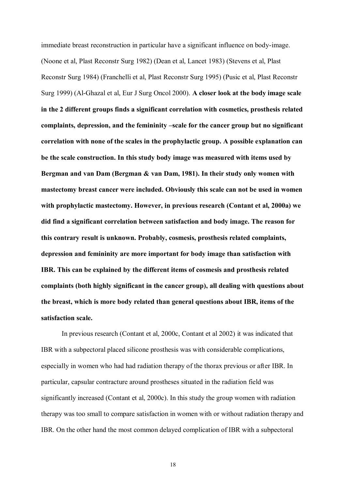immediate breast reconstruction in particular have a significant influence on body-image. (Noone et al, Plast Reconstr Surg 1982) (Dean et al, Lancet 1983) (Stevens et al, Plast Reconstr Surg 1984) (Franchelli et al, Plast Reconstr Surg 1995) (Pusic et al, Plast Reconstr Surg 1999) (Al-Ghazal et al, Eur J Surg Oncol 2000). **A closer look at the body image scale in the 2 different groups finds a significant correlation with cosmetics, prosthesis related complaints, depression, and the femininity –scale for the cancer group but no significant correlation with none of the scales in the prophylactic group. A possible explanation can be the scale construction. In this study body image was measured with items used by Bergman and van Dam (Bergman & van Dam, 1981). In their study only women with mastectomy breast cancer were included. Obviously this scale can not be used in women with prophylactic mastectomy. However, in previous research (Contant et al, 2000a) we did find a significant correlation between satisfaction and body image. The reason for this contrary result is unknown. Probably, cosmesis, prosthesis related complaints, depression and femininity are more important for body image than satisfaction with IBR. This can be explained by the different items of cosmesis and prosthesis related complaints (both highly significant in the cancer group), all dealing with questions about the breast, which is more body related than general questions about IBR, items of the satisfaction scale.** 

 In previous research (Contant et al, 2000c, Contant et al 2002) it was indicated that IBR with a subpectoral placed silicone prosthesis was with considerable complications, especially in women who had had radiation therapy of the thorax previous or after IBR. In particular, capsular contracture around prostheses situated in the radiation field was significantly increased (Contant et al, 2000c). In this study the group women with radiation therapy was too small to compare satisfaction in women with or without radiation therapy and IBR. On the other hand the most common delayed complication of IBR with a subpectoral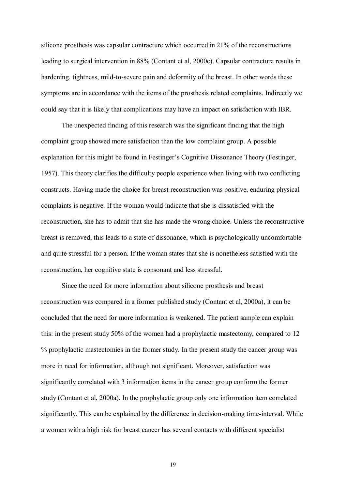silicone prosthesis was capsular contracture which occurred in 21% of the reconstructions leading to surgical intervention in 88% (Contant et al, 2000c). Capsular contracture results in hardening, tightness, mild-to-severe pain and deformity of the breast. In other words these symptoms are in accordance with the items of the prosthesis related complaints. Indirectly we could say that it is likely that complications may have an impact on satisfaction with IBR.

The unexpected finding of this research was the significant finding that the high complaint group showed more satisfaction than the low complaint group. A possible explanation for this might be found in Festinger's Cognitive Dissonance Theory (Festinger, 1957). This theory clarifies the difficulty people experience when living with two conflicting constructs. Having made the choice for breast reconstruction was positive, enduring physical complaints is negative. If the woman would indicate that she is dissatisfied with the reconstruction, she has to admit that she has made the wrong choice. Unless the reconstructive breast is removed, this leads to a state of dissonance, which is psychologically uncomfortable and quite stressful for a person. If the woman states that she is nonetheless satisfied with the reconstruction, her cognitive state is consonant and less stressful.

Since the need for more information about silicone prosthesis and breast reconstruction was compared in a former published study (Contant et al, 2000a), it can be concluded that the need for more information is weakened. The patient sample can explain this: in the present study 50% of the women had a prophylactic mastectomy, compared to 12 % prophylactic mastectomies in the former study. In the present study the cancer group was more in need for information, although not significant. Moreover, satisfaction was significantly correlated with 3 information items in the cancer group conform the former study (Contant et al, 2000a). In the prophylactic group only one information item correlated significantly. This can be explained by the difference in decision-making time-interval. While a women with a high risk for breast cancer has several contacts with different specialist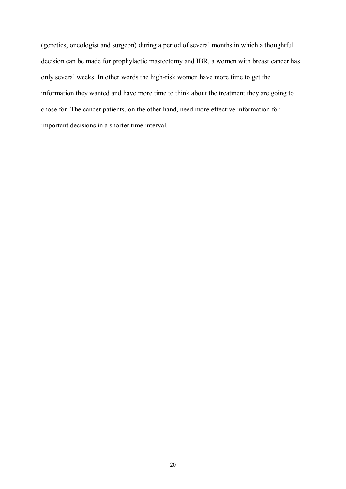(genetics, oncologist and surgeon) during a period of several months in which a thoughtful decision can be made for prophylactic mastectomy and IBR, a women with breast cancer has only several weeks. In other words the high-risk women have more time to get the information they wanted and have more time to think about the treatment they are going to chose for. The cancer patients, on the other hand, need more effective information for important decisions in a shorter time interval.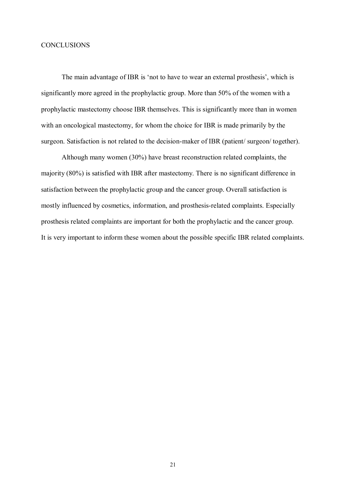### **CONCLUSIONS**

The main advantage of IBR is 'not to have to wear an external prosthesis', which is significantly more agreed in the prophylactic group. More than 50% of the women with a prophylactic mastectomy choose IBR themselves. This is significantly more than in women with an oncological mastectomy, for whom the choice for IBR is made primarily by the surgeon. Satisfaction is not related to the decision-maker of IBR (patient/ surgeon/ together).

Although many women (30%) have breast reconstruction related complaints, the majority (80%) is satisfied with IBR after mastectomy. There is no significant difference in satisfaction between the prophylactic group and the cancer group. Overall satisfaction is mostly influenced by cosmetics, information, and prosthesis-related complaints. Especially prosthesis related complaints are important for both the prophylactic and the cancer group. It is very important to inform these women about the possible specific IBR related complaints.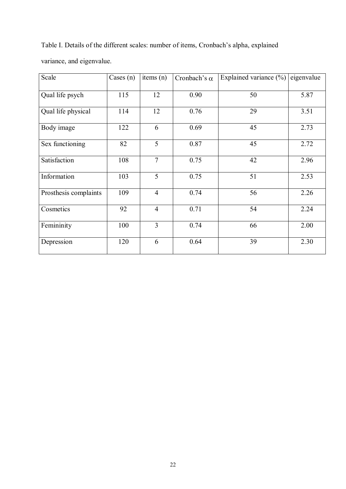Table I. Details of the different scales: number of items, Cronbach"s alpha, explained

variance, and eigenvalue.

| Scale                 | Cases $(n)$ | items $(n)$    | Cronbach's $\alpha$ | Explained variance $(\% )$ | eigenvalue |
|-----------------------|-------------|----------------|---------------------|----------------------------|------------|
| Qual life psych       | 115         | 12             | 0.90                | 50                         | 5.87       |
| Qual life physical    | 114         | 12             | 0.76                | 29                         | 3.51       |
| Body image            | 122         | 6              | 0.69                | 45                         | 2.73       |
| Sex functioning       | 82          | 5              | 0.87                | 45                         | 2.72       |
| Satisfaction          | 108         | $\overline{7}$ | 0.75                | 42                         | 2.96       |
| Information           | 103         | $\overline{5}$ | 0.75                | 51                         | 2.53       |
| Prosthesis complaints | 109         | $\overline{4}$ | 0.74                | 56                         | 2.26       |
| Cosmetics             | 92          | $\overline{4}$ | 0.71                | 54                         | 2.24       |
| Femininity            | 100         | $\overline{3}$ | 0.74                | 66                         | 2.00       |
| Depression            | 120         | 6              | 0.64                | 39                         | 2.30       |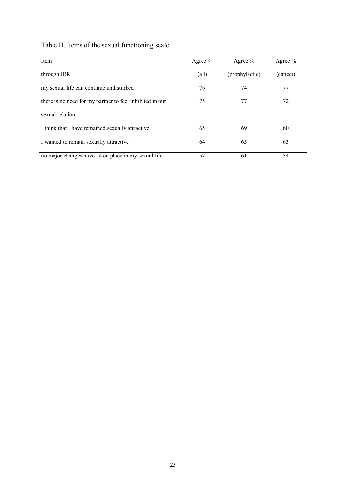Table II. Items of the sexual functioning scale.

| Item                                                     | Agree $%$      | Agree $%$      | Agree %  |
|----------------------------------------------------------|----------------|----------------|----------|
| through IBR:                                             | $\text{(all)}$ | (prophylactic) | (cancer) |
| my sexual life can continue undisturbed                  | 76             | 74             | 77       |
| there is no need for my partner to feel inhibited in our | 75             | 77             | 72       |
| sexual relation                                          |                |                |          |
| I think that I have remained sexually attractive         | 65             | 69             | 60       |
| I wanted to remain sexually attractive                   | 64             | 65             | 63       |
| no major changes have taken place in my sexual life      | 57             | 61             | 54       |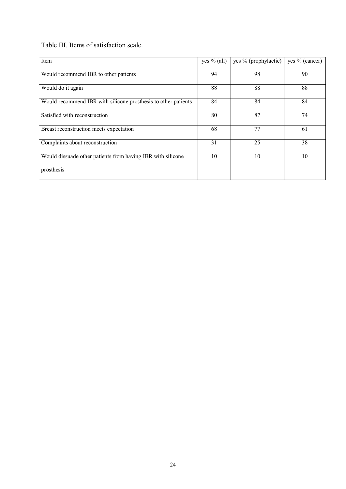Table III. Items of satisfaction scale.

| Item                                                           | yes $%$ (all) | yes % (prophylactic) | yes % (cancer) |
|----------------------------------------------------------------|---------------|----------------------|----------------|
| Would recommend IBR to other patients                          | 94            | 98                   | 90             |
| Would do it again                                              | 88            | 88                   | 88             |
| Would recommend IBR with silicone prosthesis to other patients | 84            | 84                   | 84             |
| Satisfied with reconstruction                                  | 80            | 87                   | 74             |
| Breast reconstruction meets expectation                        | 68            | 77                   | 61             |
| Complaints about reconstruction                                | 31            | 25                   | 38             |
| Would dissuade other patients from having IBR with silicone    | 10            | 10                   | 10             |
| prosthesis                                                     |               |                      |                |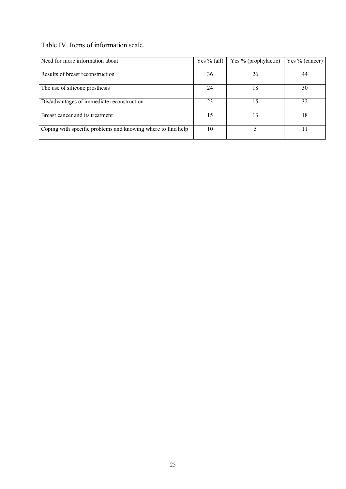Table IV. Items of information scale.

| Need for more information about                              | Yes $%$ (all) | Yes % (prophylactic) | Yes % (cancer) |
|--------------------------------------------------------------|---------------|----------------------|----------------|
|                                                              |               |                      |                |
| Results of breast reconstruction                             | 36            | 26                   | 44             |
|                                                              |               |                      |                |
| The use of silicone prosthesis                               | 24            | 18                   | 30             |
|                                                              |               |                      |                |
| Dis/advantages of immediate reconstruction                   | 23            | 15                   | 32             |
|                                                              |               |                      |                |
| Breast cancer and its treatment                              | 15            | 13                   | 18             |
|                                                              |               |                      |                |
| Coping with specific problems and knowing where to find help | 10            |                      |                |
|                                                              |               |                      |                |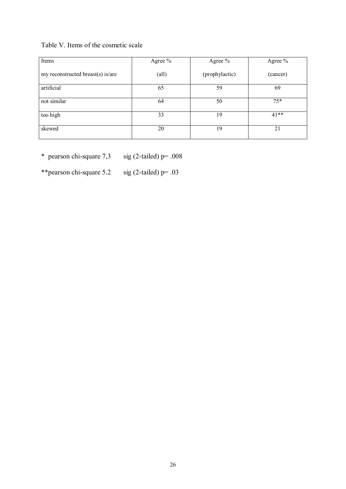# Table V. Items of the cosmetic scale

| Items                             | Agree $%$      | Agree %        | Agree %  |
|-----------------------------------|----------------|----------------|----------|
| my reconstructed breast(s) is/are | $\text{(all)}$ | (prophylactic) | (cancer) |
| artificial                        | 65             | 59             | 69       |
| not similar                       | 64             | 50             | $75*$    |
| too high                          | 33             | 19             | $41**$   |
| skewed                            | 20             | 19             | 21       |

\* pearson chi-square  $7,3$  sig (2-tailed) p= .008

\*\*pearson chi-square  $5.2$  sig (2-tailed) p= .03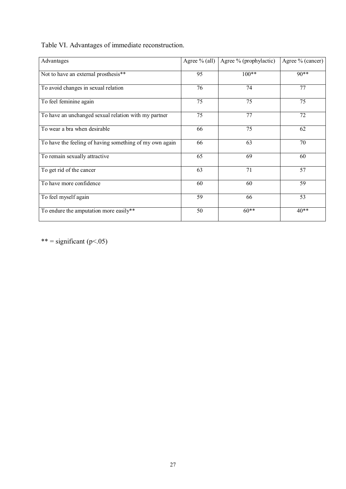Table VI. Advantages of immediate reconstruction.

| Advantages                                              | Agree $%$ (all) | Agree % (prophylactic) | Agree % (cancer) |
|---------------------------------------------------------|-----------------|------------------------|------------------|
| Not to have an external prosthesis**                    | 95              | $100**$                | $90**$           |
| To avoid changes in sexual relation                     | 76              | 74                     | 77               |
| To feel feminine again                                  | 75              | 75                     | $\overline{75}$  |
| To have an unchanged sexual relation with my partner    | 75              | 77                     | 72               |
| To wear a bra when desirable                            | 66              | 75                     | 62               |
| To have the feeling of having something of my own again | 66              | 63                     | 70               |
| To remain sexually attractive                           | 65              | 69                     | 60               |
| To get rid of the cancer                                | 63              | 71                     | 57               |
| To have more confidence                                 | 60              | 60                     | 59               |
| To feel myself again                                    | 59              | 66                     | 53               |
| To endure the amputation more easily**                  | 50              | $60**$                 | $40**$           |

\*\* = significant ( $p$ <.05)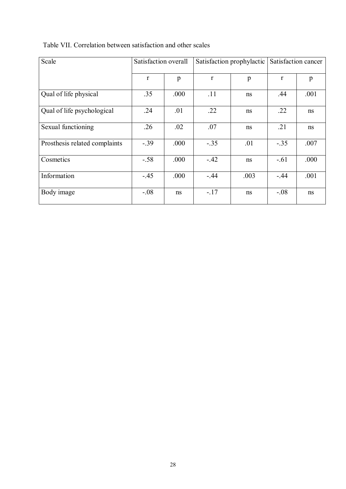| Scale                         | Satisfaction overall |      |              | Satisfaction prophylactic | Satisfaction cancer |      |  |
|-------------------------------|----------------------|------|--------------|---------------------------|---------------------|------|--|
|                               | $\mathbf{r}$         | p    | $\mathbf{r}$ | p                         | r                   | p    |  |
| Qual of life physical         | .35                  | .000 | .11          | ns                        | .44                 | .001 |  |
| Qual of life psychological    | .24                  | .01  | .22          | ns                        | .22                 | ns   |  |
| Sexual functioning            | .26                  | .02  | .07          | ns                        | .21                 | ns   |  |
| Prosthesis related complaints | $-.39$               | .000 | $-.35$       | .01                       | $-.35$              | .007 |  |
| Cosmetics                     | $-.58$               | .000 | $-.42$       | ns                        | $-.61$              | .000 |  |
| Information                   | $-45$                | .000 | $-.44$       | .003                      | $-.44$              | .001 |  |
| Body image                    | $-.08$               | ns   | $-.17$       | ns                        | $-.08$              | ns   |  |

# Table VII. Correlation between satisfaction and other scales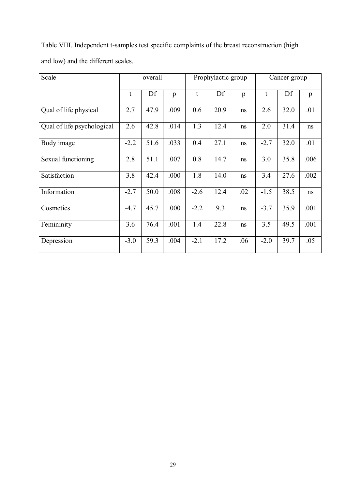Table VIII. Independent t-samples test specific complaints of the breast reconstruction (high and low) and the different scales.

| Scale                      | overall |      | Prophylactic group |        |      | Cancer group |        |      |      |
|----------------------------|---------|------|--------------------|--------|------|--------------|--------|------|------|
|                            | t       | Df   | p                  | t      | Df   | p            | t      | Df   | p    |
| Qual of life physical      | 2.7     | 47.9 | .009               | 0.6    | 20.9 | ns           | 2.6    | 32.0 | .01  |
| Qual of life psychological | 2.6     | 42.8 | .014               | 1.3    | 12.4 | ns           | 2.0    | 31.4 | ns   |
| Body image                 | $-2.2$  | 51.6 | .033               | 0.4    | 27.1 | ns           | $-2.7$ | 32.0 | .01  |
| Sexual functioning         | 2.8     | 51.1 | .007               | 0.8    | 14.7 | ns           | 3.0    | 35.8 | .006 |
| Satisfaction               | 3.8     | 42.4 | .000               | 1.8    | 14.0 | ns           | 3.4    | 27.6 | .002 |
| Information                | $-2.7$  | 50.0 | .008               | $-2.6$ | 12.4 | .02          | $-1.5$ | 38.5 | ns   |
| Cosmetics                  | $-4.7$  | 45.7 | .000               | $-2.2$ | 9.3  | ns           | $-3.7$ | 35.9 | .001 |
| Femininity                 | 3.6     | 76.4 | .001               | 1.4    | 22.8 | ns           | 3.5    | 49.5 | .001 |
| Depression                 | $-3.0$  | 59.3 | .004               | $-2.1$ | 17.2 | .06          | $-2.0$ | 39.7 | .05  |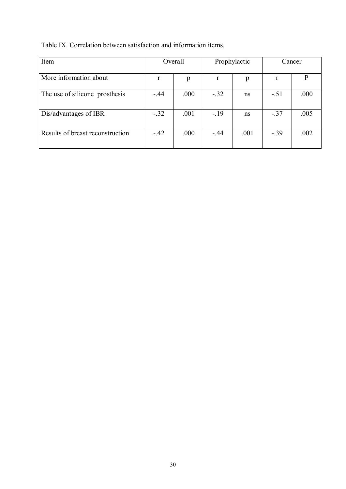Table IX. Correlation between satisfaction and information items.

| Item                             | Overall |      | Prophylactic |      | Cancer |      |
|----------------------------------|---------|------|--------------|------|--------|------|
| More information about           | r       | p    | r            | p    | r      | P    |
| The use of silicone prosthesis   | $-.44$  | .000 | $-.32$       | ns   | $-.51$ | .000 |
| Dis/advantages of IBR            | $-.32$  | .001 | $-.19$       | ns   | $-.37$ | .005 |
| Results of breast reconstruction | $-.42$  | .000 | $-.44$       | .001 | $-.39$ | .002 |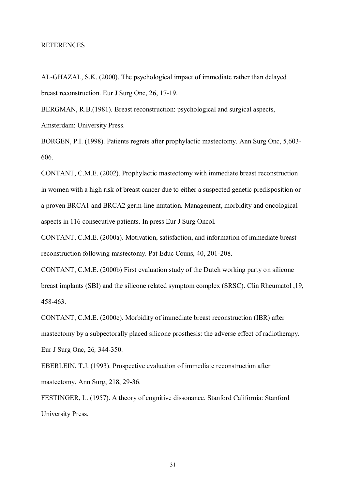#### REFERENCES

AL-GHAZAL, S.K. (2000). The psychological impact of immediate rather than delayed breast reconstruction. Eur J Surg Onc, 26, 17-19.

BERGMAN, R.B.(1981). Breast reconstruction: psychological and surgical aspects, Amsterdam: University Press.

BORGEN, P.I. (1998). Patients regrets after prophylactic mastectomy. Ann Surg Onc, 5,603- 606.

CONTANT, C.M.E. (2002). Prophylactic mastectomy with immediate breast reconstruction in women with a high risk of breast cancer due to either a suspected genetic predisposition or a proven BRCA1 and BRCA2 germ-line mutation. Management, morbidity and oncological aspects in 116 consecutive patients. In press Eur J Surg Oncol.

CONTANT, C.M.E. (2000a). Motivation, satisfaction, and information of immediate breast reconstruction following mastectomy. Pat Educ Couns, 40, 201-208.

CONTANT, C.M.E. (2000b) First evaluation study of the Dutch working party on silicone breast implants (SBI) and the silicone related symptom complex (SRSC). Clin Rheumatol ,19, 458-463.

CONTANT, C.M.E. (2000c). Morbidity of immediate breast reconstruction (IBR) after mastectomy by a subpectorally placed silicone prosthesis: the adverse effect of radiotherapy. Eur J Surg Onc, 26*,* 344-350.

EBERLEIN, T.J. (1993). Prospective evaluation of immediate reconstruction after mastectomy. Ann Surg, 218, 29-36.

FESTINGER, L. (1957). A theory of cognitive dissonance. Stanford California: Stanford University Press.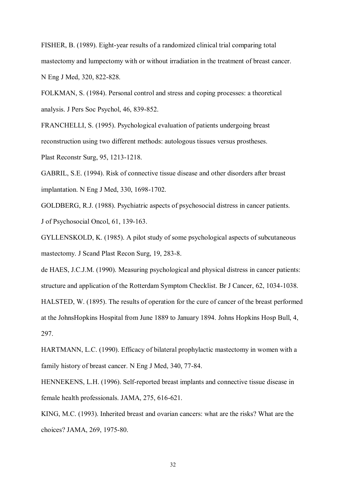FISHER, B. (1989). Eight-year results of a randomized clinical trial comparing total mastectomy and lumpectomy with or without irradiation in the treatment of breast cancer. N Eng J Med, 320, 822-828.

FOLKMAN, S. (1984). Personal control and stress and coping processes: a theoretical analysis. J Pers Soc Psychol, 46, 839-852.

FRANCHELLI, S. (1995). Psychological evaluation of patients undergoing breast reconstruction using two different methods: autologous tissues versus prostheses. Plast Reconstr Surg, 95, 1213-1218.

GABRIL, S.E. (1994). Risk of connective tissue disease and other disorders after breast implantation. N Eng J Med, 330, 1698-1702.

GOLDBERG, R.J. (1988). Psychiatric aspects of psychosocial distress in cancer patients. J of Psychosocial Oncol, 61, 139-163.

GYLLENSKOLD, K. (1985). A pilot study of some psychological aspects of subcutaneous mastectomy. J Scand Plast Recon Surg, 19, 283-8.

de HAES, J.C.J.M. (1990). Measuring psychological and physical distress in cancer patients: structure and application of the Rotterdam Symptom Checklist. Br J Cancer, 62, 1034-1038. HALSTED, W. (1895). The results of operation for the cure of cancer of the breast performed at the JohnsHopkins Hospital from June 1889 to January 1894. Johns Hopkins Hosp Bull, 4, 297.

HARTMANN, L.C. (1990). Efficacy of bilateral prophylactic mastectomy in women with a family history of breast cancer. N Eng J Med, 340, 77-84.

HENNEKENS, L.H. (1996). Self-reported breast implants and connective tissue disease in female health professionals. JAMA, 275, 616-621.

KING, M.C. (1993). Inherited breast and ovarian cancers: what are the risks? What are the choices? JAMA, 269, 1975-80.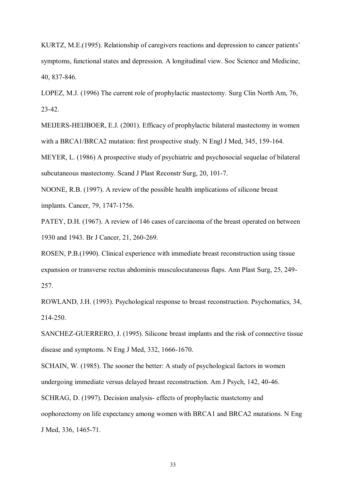KURTZ, M.E.(1995). Relationship of caregivers reactions and depression to cancer patients" symptoms, functional states and depression. A longitudinal view. Soc Science and Medicine, 40, 837-846.

LOPEZ, M.J. (1996) The current role of prophylactic mastectomy*.* Surg Clin North Am, 76, 23-42.

MEIJERS-HEIJBOER, E.J. (2001). Efficacy of prophylactic bilateral mastectomy in women with a BRCA1/BRCA2 mutation: first prospective study. N Engl J Med, 345, 159-164.

MEYER, L. (1986) A prospective study of psychiatric and psychosocial sequelae of bilateral subcutaneous mastectomy. Scand J Plast Reconstr Surg, 20, 101-7.

NOONE, R.B. (1997). A review of the possible health implications of silicone breast implants. Cancer, 79, 1747-1756.

PATEY, D.H. (1967). A review of 146 cases of carcinoma of the breast operated on between 1930 and 1943. Br J Cancer, 21, 260-269.

ROSEN, P.B.(1990). Clinical experience with immediate breast reconstruction using tissue expansion or transverse rectus abdominis musculocutaneous flaps. Ann Plast Surg, 25, 249- 257.

ROWLAND, J.H. (1993). Psychological response to breast reconstruction. Psychomatics, 34, 214-250.

SANCHEZ-GUERRERO, J. (1995). Silicone breast implants and the risk of connective tissue disease and symptoms. N Eng J Med, 332, 1666-1670.

SCHAIN, W. (1985). The sooner the better: A study of psychological factors in women undergoing immediate versus delayed breast reconstruction. Am J Psych, 142, 40-46. SCHRAG, D. (1997). Decision analysis- effects of prophylactic mastctomy and oophorectomy on life expectancy among women with BRCA1 and BRCA2 mutations. N Eng J Med, 336, 1465-71.